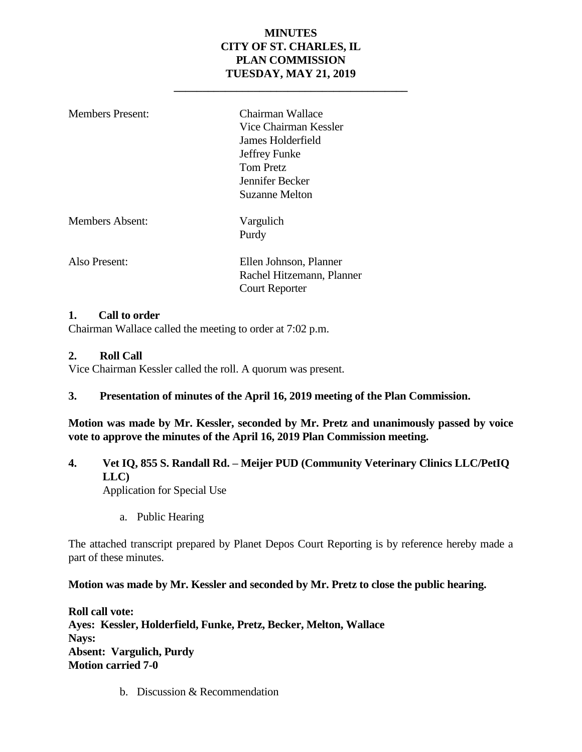## **MINUTES CITY OF ST. CHARLES, IL PLAN COMMISSION TUESDAY, MAY 21, 2019**

**\_\_\_\_\_\_\_\_\_\_\_\_\_\_\_\_\_\_\_\_\_\_\_\_\_\_\_\_\_\_\_\_\_\_\_\_\_\_\_\_\_**

| <b>Members Present:</b> | Chairman Wallace<br>Vice Chairman Kessler<br>James Holderfield<br>Jeffrey Funke<br>Tom Pretz<br>Jennifer Becker<br>Suzanne Melton |
|-------------------------|-----------------------------------------------------------------------------------------------------------------------------------|
| <b>Members Absent:</b>  | Vargulich<br>Purdy                                                                                                                |
| Also Present:           | Ellen Johnson, Planner<br>Rachel Hitzemann, Planner<br><b>Court Reporter</b>                                                      |

#### **1. Call to order**

Chairman Wallace called the meeting to order at 7:02 p.m.

#### **2. Roll Call**

Vice Chairman Kessler called the roll. A quorum was present.

## **3. Presentation of minutes of the April 16, 2019 meeting of the Plan Commission.**

**Motion was made by Mr. Kessler, seconded by Mr. Pretz and unanimously passed by voice vote to approve the minutes of the April 16, 2019 Plan Commission meeting.** 

## **4. Vet IQ, 855 S. Randall Rd. – Meijer PUD (Community Veterinary Clinics LLC/PetIQ LLC)**

Application for Special Use

a. Public Hearing

The attached transcript prepared by Planet Depos Court Reporting is by reference hereby made a part of these minutes.

#### **Motion was made by Mr. Kessler and seconded by Mr. Pretz to close the public hearing.**

**Roll call vote: Ayes: Kessler, Holderfield, Funke, Pretz, Becker, Melton, Wallace Nays: Absent: Vargulich, Purdy Motion carried 7-0**

b. Discussion & Recommendation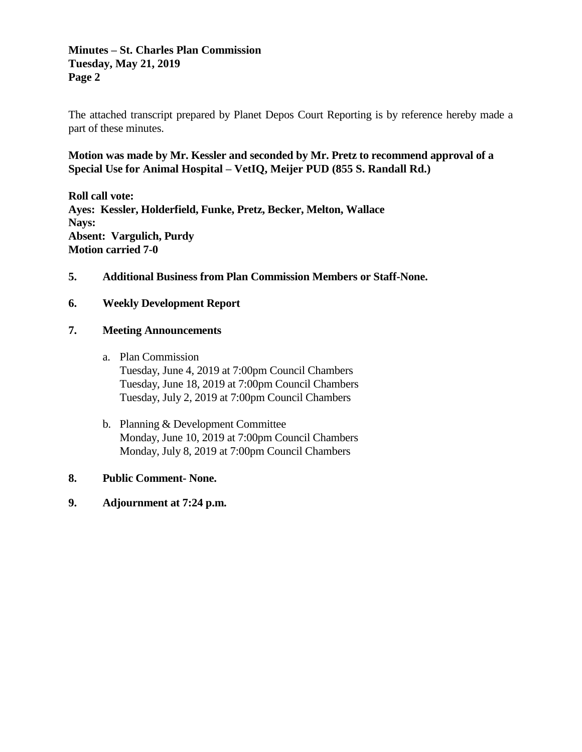## **Minutes – St. Charles Plan Commission Tuesday, May 21, 2019 Page 2**

The attached transcript prepared by Planet Depos Court Reporting is by reference hereby made a part of these minutes.

## **Motion was made by Mr. Kessler and seconded by Mr. Pretz to recommend approval of a Special Use for Animal Hospital – VetIQ, Meijer PUD (855 S. Randall Rd.)**

**Roll call vote: Ayes: Kessler, Holderfield, Funke, Pretz, Becker, Melton, Wallace Nays: Absent: Vargulich, Purdy Motion carried 7-0**

**5. Additional Business from Plan Commission Members or Staff-None.** 

#### **6. Weekly Development Report**

#### **7. Meeting Announcements**

- a. Plan Commission Tuesday, June 4, 2019 at 7:00pm Council Chambers Tuesday, June 18, 2019 at 7:00pm Council Chambers Tuesday, July 2, 2019 at 7:00pm Council Chambers
- b. Planning & Development Committee Monday, June 10, 2019 at 7:00pm Council Chambers Monday, July 8, 2019 at 7:00pm Council Chambers

#### **8. Public Comment- None.**

**9. Adjournment at 7:24 p.m.**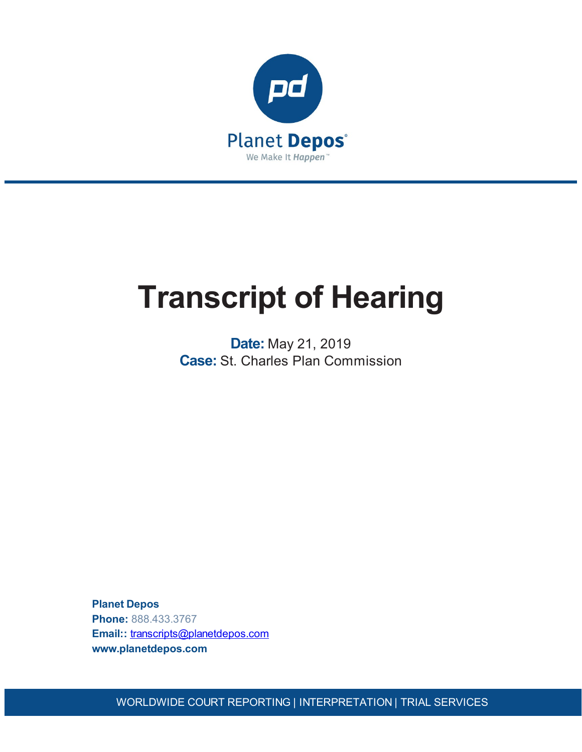

# **Transcript of Hearing**

**Date:** May 21, 2019 **Case:** St. Charles Plan Commission

**Planet Depos Phone:** 888.433.3767 **Email::** [transcripts@planetdepos.com](mailto:transcripts@planetdepos.com) **www.planetdepos.com**

WORLDWIDE COURT REPORTING | INTERPRETATION | TRIAL SERVICES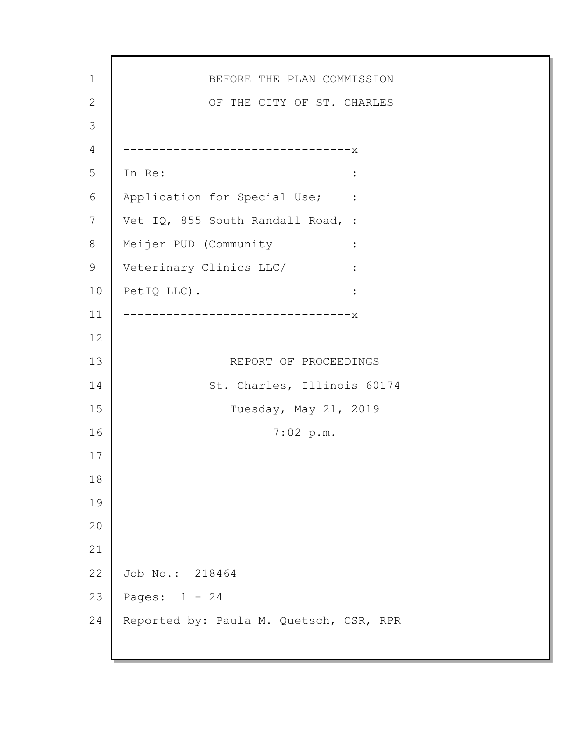1 2 3 4 5 6 7 8 9 10 11 12 13 14 15 16 17 18 19 20 21 22 23 24 BEFORE THE PLAN COMMISSION OF THE CITY OF ST. CHARLES --------------------------------x In Re:  $\qquad \qquad \blacksquare$ Application for Special Use; : Vet IQ, 855 South Randall Road, : Meijer PUD (Community : Veterinary Clinics LLC/ : PetIQ LLC).  $\qquad \qquad :$ --------------------------------x REPORT OF PROCEEDINGS St. Charles, Illinois 60174 Tuesday, May 21, 2019 7:02 p.m. Job No.: 218464 Pages: 1 - 24 Reported by: Paula M. Quetsch, CSR, RPR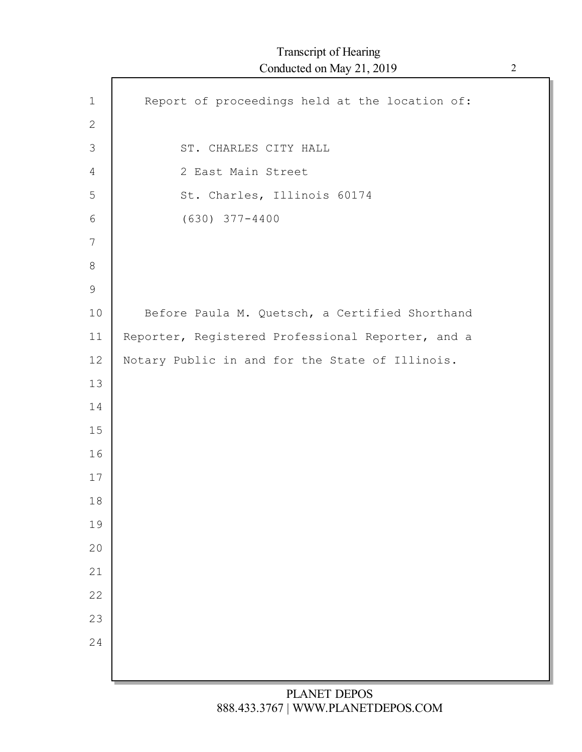| $1\,$          | Report of proceedings held at the location of:    |
|----------------|---------------------------------------------------|
| $\mathbf{2}$   |                                                   |
| $\mathfrak{Z}$ | ST. CHARLES CITY HALL                             |
| 4              | 2 East Main Street                                |
| 5              | St. Charles, Illinois 60174                       |
| 6              | $(630)$ $377 - 4400$                              |
| 7              |                                                   |
| $8\,$          |                                                   |
| $\mathsf 9$    |                                                   |
| 10             | Before Paula M. Quetsch, a Certified Shorthand    |
| 11             | Reporter, Registered Professional Reporter, and a |
| 12             | Notary Public in and for the State of Illinois.   |
| 13             |                                                   |
| 14             |                                                   |
| 15             |                                                   |
| 16             |                                                   |
| 17             |                                                   |
| 18             |                                                   |
| 19             |                                                   |
| 20             |                                                   |
| 21             |                                                   |
| 22             |                                                   |
| 23             |                                                   |
| 24             |                                                   |
|                |                                                   |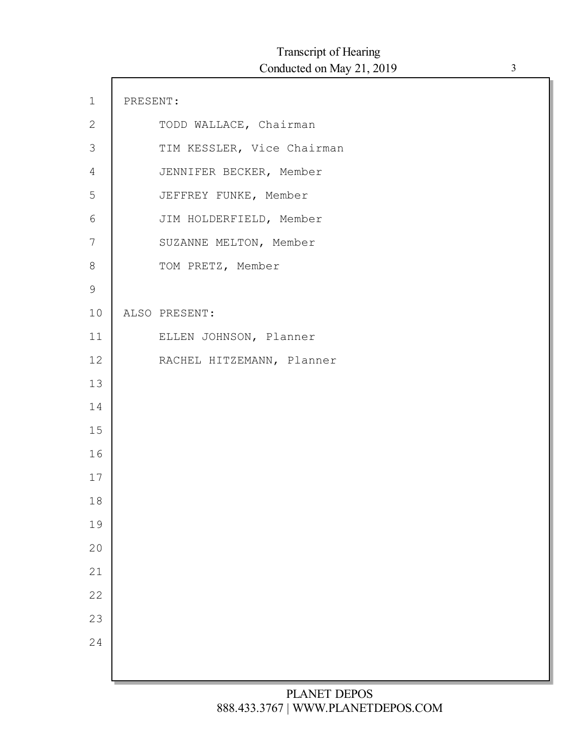| $1\,$            | PRESENT: |                            |
|------------------|----------|----------------------------|
| $\mathbf{2}$     |          | TODD WALLACE, Chairman     |
| 3                |          | TIM KESSLER, Vice Chairman |
| $\overline{4}$   |          | JENNIFER BECKER, Member    |
| 5                |          | JEFFREY FUNKE, Member      |
| 6                |          | JIM HOLDERFIELD, Member    |
| $\boldsymbol{7}$ |          | SUZANNE MELTON, Member     |
| $\,8\,$          |          | TOM PRETZ, Member          |
| $\mathsf 9$      |          |                            |
| 10               |          | ALSO PRESENT:              |
| 11               |          | ELLEN JOHNSON, Planner     |
| 12               |          | RACHEL HITZEMANN, Planner  |
| 13               |          |                            |
| 14               |          |                            |
| 15               |          |                            |
| 16               |          |                            |
| 17               |          |                            |
| 18               |          |                            |
| 19               |          |                            |
| 20               |          |                            |
| 21               |          |                            |
| 22               |          |                            |
| 23               |          |                            |
| 24               |          |                            |
|                  |          |                            |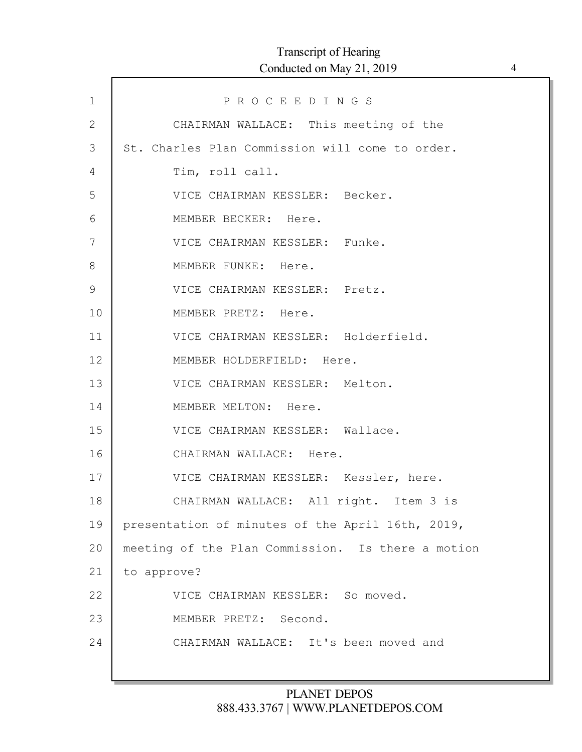| $\mathbf 1$    | PROCEEDINGS                                       |
|----------------|---------------------------------------------------|
| $\overline{2}$ | CHAIRMAN WALLACE: This meeting of the             |
| 3              | St. Charles Plan Commission will come to order.   |
| 4              | Tim, roll call.                                   |
| 5              | VICE CHAIRMAN KESSLER: Becker.                    |
| 6              | MEMBER BECKER: Here.                              |
| 7              | VICE CHAIRMAN KESSLER: Funke.                     |
| 8              | MEMBER FUNKE: Here.                               |
| $\mathcal{G}$  | VICE CHAIRMAN KESSLER: Pretz.                     |
| 10             | MEMBER PRETZ: Here.                               |
| 11             | VICE CHAIRMAN KESSLER: Holderfield.               |
| 12             | MEMBER HOLDERFIELD: Here.                         |
| 13             | VICE CHAIRMAN KESSLER: Melton.                    |
| 14             | MEMBER MELTON: Here.                              |
| 15             | VICE CHAIRMAN KESSLER: Wallace.                   |
| 16             | CHAIRMAN WALLACE: Here.                           |
| 17             | VICE CHAIRMAN KESSLER: Kessler, here.             |
| 18             | CHAIRMAN WALLACE: All right. Item 3 is            |
| 19             | presentation of minutes of the April 16th, 2019,  |
| 20             | meeting of the Plan Commission. Is there a motion |
| 21             | to approve?                                       |
| 22             | VICE CHAIRMAN KESSLER: So moved.                  |
| 23             | MEMBER PRETZ: Second.                             |
| 24             | CHAIRMAN WALLACE: It's been moved and             |
|                |                                                   |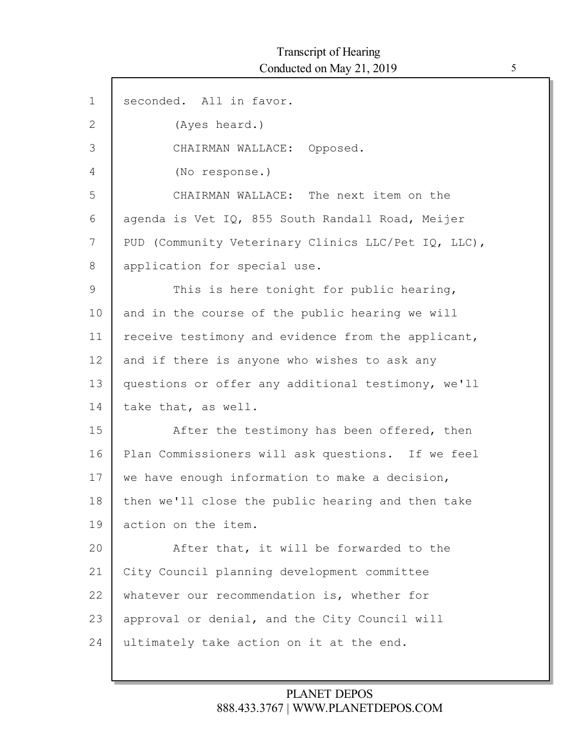| $\mathbf 1$ | seconded. All in favor.                             |
|-------------|-----------------------------------------------------|
| 2           | (Ayes heard.)                                       |
| 3           | CHAIRMAN WALLACE: Opposed.                          |
| 4           | (No response.)                                      |
| 5           | CHAIRMAN WALLACE: The next item on the              |
| 6           | agenda is Vet IQ, 855 South Randall Road, Meijer    |
| 7           | PUD (Community Veterinary Clinics LLC/Pet IQ, LLC), |
| 8           | application for special use.                        |
| 9           | This is here tonight for public hearing,            |
| 10          | and in the course of the public hearing we will     |
| 11          | receive testimony and evidence from the applicant,  |
| 12          | and if there is anyone who wishes to ask any        |
| 13          | questions or offer any additional testimony, we'll  |
| 14          | take that, as well.                                 |
| 15          | After the testimony has been offered, then          |
| 16          | Plan Commissioners will ask questions. If we feel   |
| 17          | we have enough information to make a decision,      |
| 18          | then we'll close the public hearing and then take   |
| 19          | action on the item.                                 |
| 20          | After that, it will be forwarded to the             |
| 21          | City Council planning development committee         |
| 22          | whatever our recommendation is, whether for         |
| 23          | approval or denial, and the City Council will       |
| 24          | ultimately take action on it at the end.            |
|             |                                                     |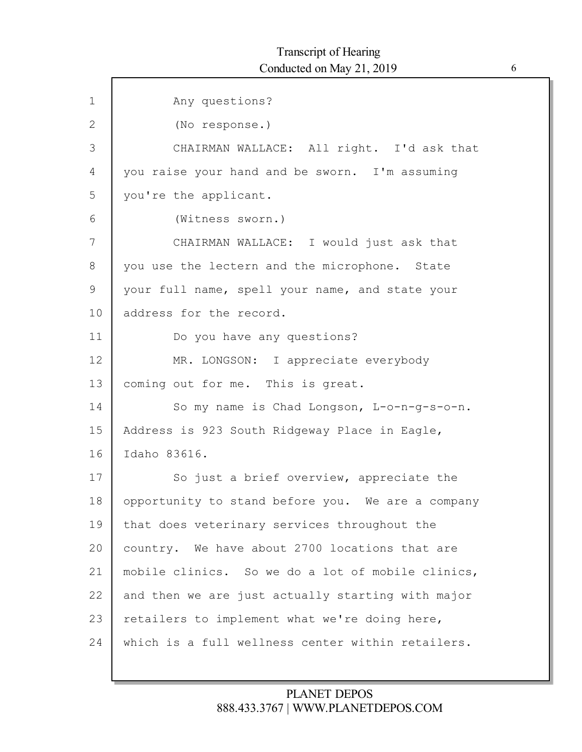| $\mathbf 1$  | Any questions?                                    |
|--------------|---------------------------------------------------|
| $\mathbf{2}$ | (No response.)                                    |
| 3            | CHAIRMAN WALLACE: All right. I'd ask that         |
| 4            | you raise your hand and be sworn. I'm assuming    |
| 5            | you're the applicant.                             |
| 6            | (Witness sworn.)                                  |
| 7            | CHAIRMAN WALLACE: I would just ask that           |
| 8            | you use the lectern and the microphone. State     |
| 9            | your full name, spell your name, and state your   |
| 10           | address for the record.                           |
| 11           | Do you have any questions?                        |
| 12           | MR. LONGSON: I appreciate everybody               |
| 13           | coming out for me. This is great.                 |
| 14           | So my name is Chad Longson, L-o-n-g-s-o-n.        |
| 15           | Address is 923 South Ridgeway Place in Eagle,     |
| 16           | Idaho 83616.                                      |
| 17           | So just a brief overview, appreciate the          |
| 18           | opportunity to stand before you. We are a company |
| 19           | that does veterinary services throughout the      |
| 20           | country. We have about 2700 locations that are    |
| 21           | mobile clinics. So we do a lot of mobile clinics, |
| 22           | and then we are just actually starting with major |
| 23           | retailers to implement what we're doing here,     |
| 24           | which is a full wellness center within retailers. |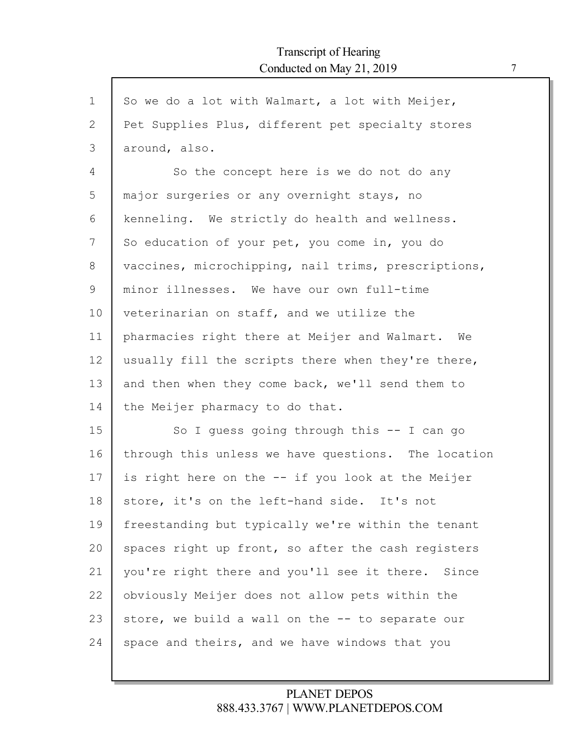| $\mathbf{1}$ | So we do a lot with Walmart, a lot with Meijer,     |
|--------------|-----------------------------------------------------|
| 2            | Pet Supplies Plus, different pet specialty stores   |
| 3            | around, also.                                       |
| 4            | So the concept here is we do not do any             |
| 5            | major surgeries or any overnight stays, no          |
| 6            | kenneling. We strictly do health and wellness.      |
| 7            | So education of your pet, you come in, you do       |
| 8            | vaccines, microchipping, nail trims, prescriptions, |
| 9            | minor illnesses. We have our own full-time          |
| 10           | veterinarian on staff, and we utilize the           |
| 11           | pharmacies right there at Meijer and Walmart. We    |
| 12           | usually fill the scripts there when they're there,  |
| 13           | and then when they come back, we'll send them to    |
| 14           | the Meijer pharmacy to do that.                     |
| 15           | So I quess going through this $-$ I can go          |
| 16           | through this unless we have questions. The location |
| 17           | is right here on the -- if you look at the Meijer   |
| 18           | store, it's on the left-hand side. It's not         |
| 19           | freestanding but typically we're within the tenant  |
| 20           | spaces right up front, so after the cash registers  |
| 21           | you're right there and you'll see it there. Since   |
| 22           | obviously Meijer does not allow pets within the     |
| 23           | store, we build a wall on the -- to separate our    |
| 24           | space and theirs, and we have windows that you      |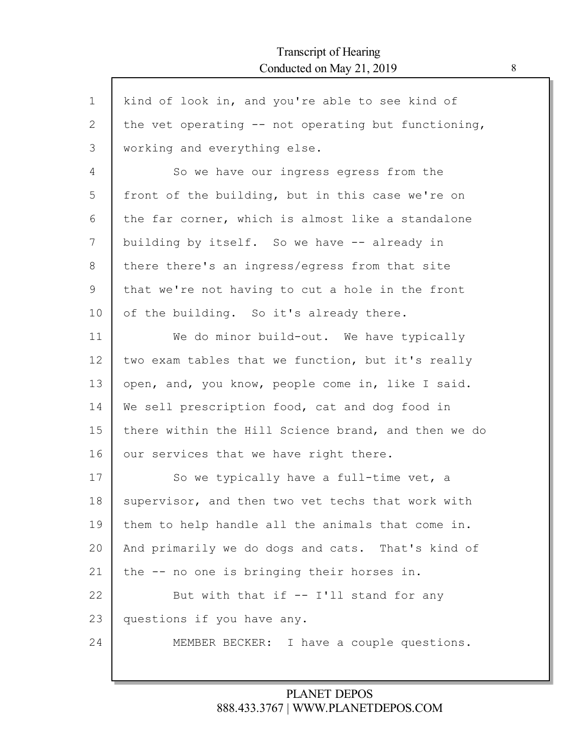$\Gamma$ 

| $\mathbf 1$ | kind of look in, and you're able to see kind of       |
|-------------|-------------------------------------------------------|
| 2           | the vet operating $--$ not operating but functioning, |
| 3           | working and everything else.                          |
| 4           | So we have our ingress egress from the                |
| 5           | front of the building, but in this case we're on      |
| 6           | the far corner, which is almost like a standalone     |
| 7           | building by itself. So we have -- already in          |
| 8           | there there's an ingress/egress from that site        |
| 9           | that we're not having to cut a hole in the front      |
| 10          | of the building. So it's already there.               |
| 11          | We do minor build-out. We have typically              |
| 12          | two exam tables that we function, but it's really     |
| 13          | open, and, you know, people come in, like I said.     |
| 14          | We sell prescription food, cat and dog food in        |
| 15          | there within the Hill Science brand, and then we do   |
| 16          | our services that we have right there.                |
| 17          | So we typically have a full-time vet, a               |
| 18          | supervisor, and then two vet techs that work with     |
| 19          | them to help handle all the animals that come in.     |
| 20          | And primarily we do dogs and cats. That's kind of     |
| 21          | the -- no one is bringing their horses in.            |
| 22          | But with that if -- I'll stand for any                |
| 23          | questions if you have any.                            |
| 24          | I have a couple questions.<br>MEMBER BECKER:          |
|             |                                                       |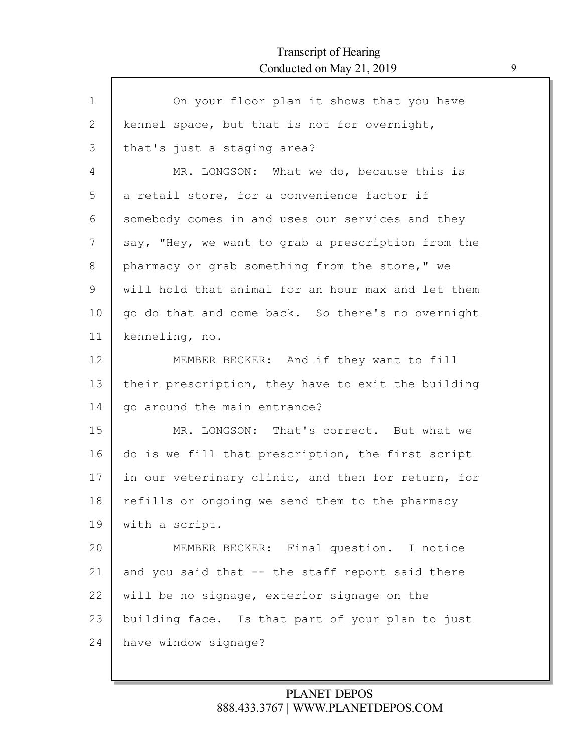$\mathsf{l}$ 

| $\mathbf 1$ | On your floor plan it shows that you have          |
|-------------|----------------------------------------------------|
| 2           | kennel space, but that is not for overnight,       |
| 3           | that's just a staging area?                        |
| 4           | MR. LONGSON: What we do, because this is           |
| 5           | a retail store, for a convenience factor if        |
| 6           | somebody comes in and uses our services and they   |
| 7           | say, "Hey, we want to grab a prescription from the |
| 8           | pharmacy or grab something from the store," we     |
| 9           | will hold that animal for an hour max and let them |
| 10          | go do that and come back. So there's no overnight  |
| 11          | kenneling, no.                                     |
| 12          | MEMBER BECKER: And if they want to fill            |
| 13          | their prescription, they have to exit the building |
| 14          | go around the main entrance?                       |
| 15          | MR. LONGSON: That's correct. But what we           |
| 16          | do is we fill that prescription, the first script  |
| 17          | in our veterinary clinic, and then for return, for |
| 18          | refills or ongoing we send them to the pharmacy    |
| 19          | with a script.                                     |
| 20          | MEMBER BECKER: Final question. I notice            |
| 21          | and you said that -- the staff report said there   |
| 22          | will be no signage, exterior signage on the        |
| 23          | building face. Is that part of your plan to just   |
| 24          | have window signage?                               |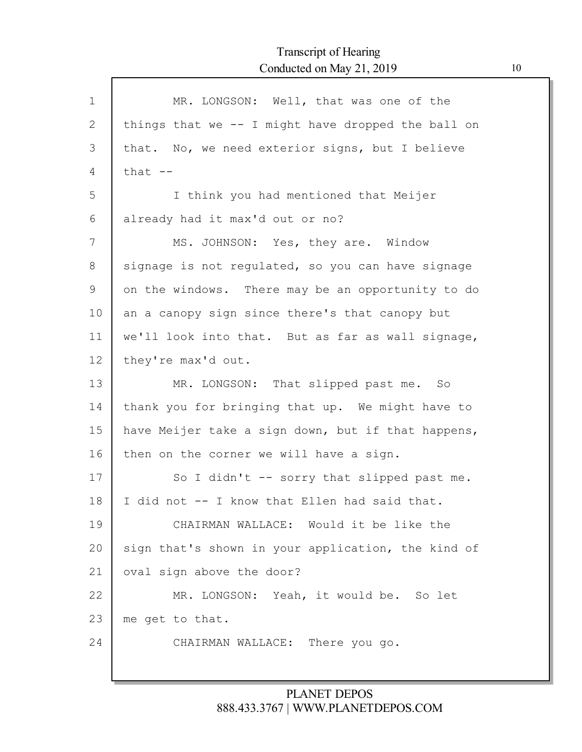| $\mathbf 1$  | MR. LONGSON: Well, that was one of the             |
|--------------|----------------------------------------------------|
| $\mathbf{2}$ | things that we -- I might have dropped the ball on |
| 3            | that. No, we need exterior signs, but I believe    |
| 4            | that $--$                                          |
| 5            | I think you had mentioned that Meijer              |
| 6            | already had it max'd out or no?                    |
| 7            | MS. JOHNSON: Yes, they are. Window                 |
| 8            | signage is not regulated, so you can have signage  |
| 9            | on the windows. There may be an opportunity to do  |
| 10           | an a canopy sign since there's that canopy but     |
| 11           | we'll look into that. But as far as wall signage,  |
| 12           | they're max'd out.                                 |
| 13           | MR. LONGSON: That slipped past me. So              |
| 14           | thank you for bringing that up. We might have to   |
| 15           | have Meijer take a sign down, but if that happens, |
| 16           | then on the corner we will have a sign.            |
| 17           | So I didn't -- sorry that slipped past me.         |
| 18           | I did not -- I know that Ellen had said that.      |
| 19           | CHAIRMAN WALLACE: Would it be like the             |
| 20           | sign that's shown in your application, the kind of |
| 21           | oval sign above the door?                          |
| 22           | MR. LONGSON: Yeah, it would be. So let             |
| 23           | me get to that.                                    |
| 24           | CHAIRMAN WALLACE: There you go.                    |
|              |                                                    |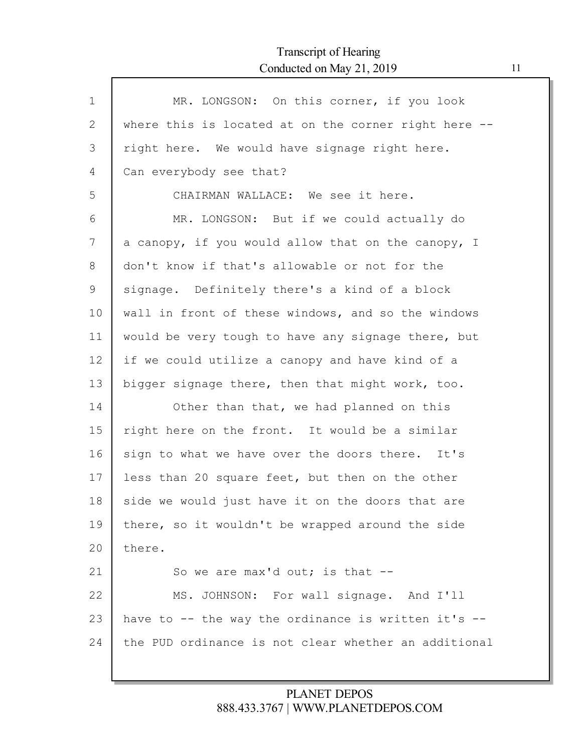Г

| $\mathbf 1$ | MR. LONGSON: On this corner, if you look             |
|-------------|------------------------------------------------------|
| 2           | where this is located at on the corner right here -- |
| 3           | right here. We would have signage right here.        |
| 4           | Can everybody see that?                              |
| 5           | CHAIRMAN WALLACE: We see it here.                    |
| 6           | MR. LONGSON: But if we could actually do             |
| 7           | a canopy, if you would allow that on the canopy, I   |
| 8           | don't know if that's allowable or not for the        |
| 9           | signage. Definitely there's a kind of a block        |
| 10          | wall in front of these windows, and so the windows   |
| 11          | would be very tough to have any signage there, but   |
| 12          | if we could utilize a canopy and have kind of a      |
| 13          | bigger signage there, then that might work, too.     |
| 14          | Other than that, we had planned on this              |
| 15          | right here on the front. It would be a similar       |
| 16          | sign to what we have over the doors there. It's      |
| 17          | less than 20 square feet, but then on the other      |
| 18          | side we would just have it on the doors that are     |
| 19          | there, so it wouldn't be wrapped around the side     |
| 20          | there.                                               |
| 21          | So we are max'd out; is that $-$ -                   |
| 22          | MS. JOHNSON: For wall signage. And I'll              |
| 23          | have to -- the way the ordinance is written it's --  |
| 24          | the PUD ordinance is not clear whether an additional |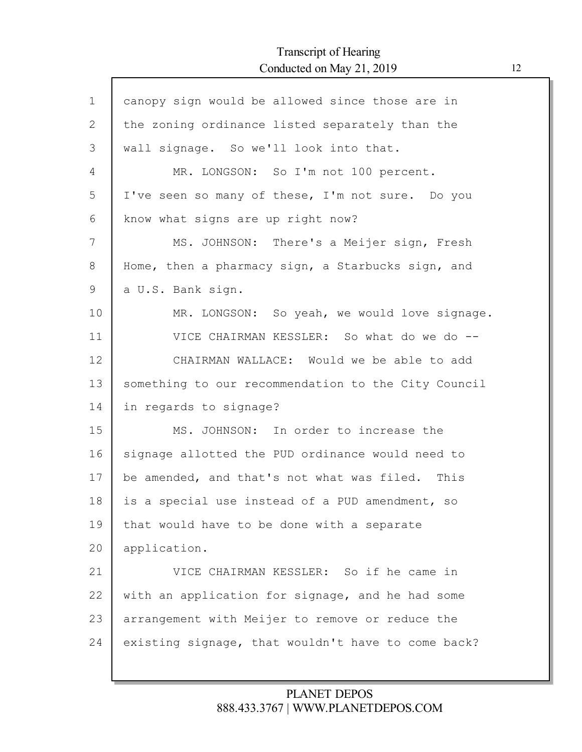$\mathsf{r}$ 

| $\mathbf 1$ | canopy sign would be allowed since those are in     |
|-------------|-----------------------------------------------------|
| 2           | the zoning ordinance listed separately than the     |
| 3           | wall signage. So we'll look into that.              |
| 4           | MR. LONGSON: So I'm not 100 percent.                |
| 5           | I've seen so many of these, I'm not sure. Do you    |
| 6           | know what signs are up right now?                   |
| 7           | MS. JOHNSON: There's a Meijer sign, Fresh           |
| 8           | Home, then a pharmacy sign, a Starbucks sign, and   |
| 9           | a U.S. Bank sign.                                   |
| 10          | MR. LONGSON: So yeah, we would love signage.        |
| 11          | VICE CHAIRMAN KESSLER: So what do we do --          |
| 12          | CHAIRMAN WALLACE: Would we be able to add           |
| 13          | something to our recommendation to the City Council |
| 14          | in regards to signage?                              |
| 15          | MS. JOHNSON: In order to increase the               |
| 16          | signage allotted the PUD ordinance would need to    |
| 17          | be amended, and that's not what was filed. This     |
| 18          | is a special use instead of a PUD amendment, so     |
| 19          | that would have to be done with a separate          |
| 20          | application.                                        |
| 21          | VICE CHAIRMAN KESSLER: So if he came in             |
| 22          | with an application for signage, and he had some    |
| 23          | arrangement with Meijer to remove or reduce the     |
| 24          | existing signage, that wouldn't have to come back?  |
|             |                                                     |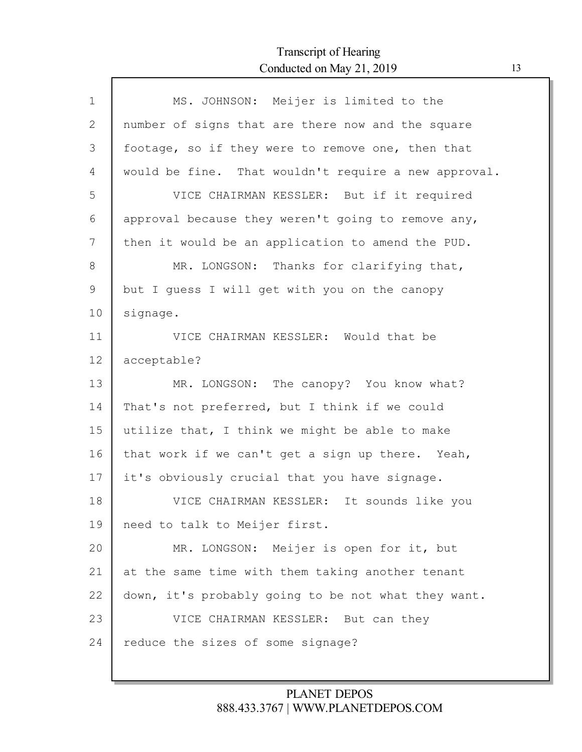Г

| $\mathbf 1$ | MS. JOHNSON: Meijer is limited to the                |
|-------------|------------------------------------------------------|
| 2           | number of signs that are there now and the square    |
| 3           | footage, so if they were to remove one, then that    |
| 4           | would be fine. That wouldn't require a new approval. |
| 5           | VICE CHAIRMAN KESSLER: But if it required            |
| 6           | approval because they weren't going to remove any,   |
| 7           | then it would be an application to amend the PUD.    |
| 8           | MR. LONGSON: Thanks for clarifying that,             |
| 9           | but I quess I will get with you on the canopy        |
| 10          | signage.                                             |
| 11          | VICE CHAIRMAN KESSLER: Would that be                 |
| 12          | acceptable?                                          |
| 13          | MR. LONGSON: The canopy? You know what?              |
| 14          | That's not preferred, but I think if we could        |
| 15          | utilize that, I think we might be able to make       |
| 16          | that work if we can't get a sign up there. Yeah,     |
| 17          | it's obviously crucial that you have signage.        |
| 18          | VICE CHAIRMAN KESSLER: It sounds like you            |
| 19          | need to talk to Meijer first.                        |
| 20          | MR. LONGSON: Meijer is open for it, but              |
| 21          | at the same time with them taking another tenant     |
| 22          | down, it's probably going to be not what they want.  |
| 23          | VICE CHAIRMAN KESSLER: But can they                  |
| 24          | reduce the sizes of some signage?                    |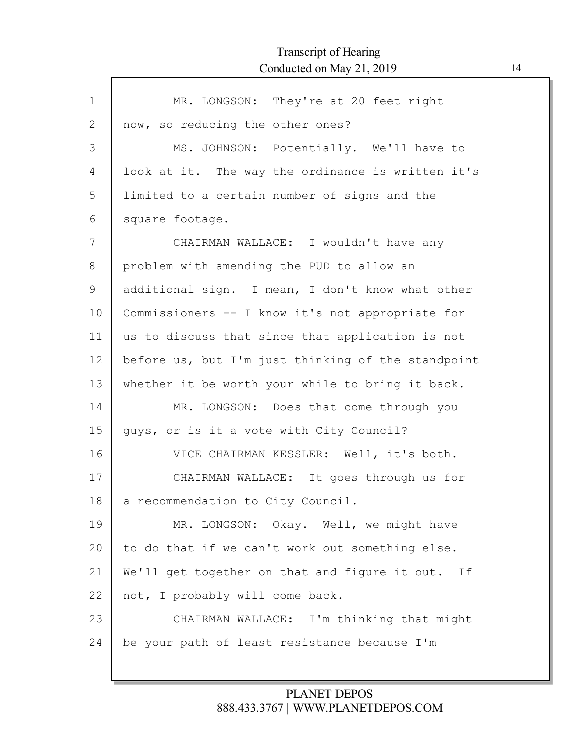| $\mathbf 1$  | MR. LONGSON: They're at 20 feet right              |
|--------------|----------------------------------------------------|
| $\mathbf{2}$ | now, so reducing the other ones?                   |
| 3            | MS. JOHNSON: Potentially. We'll have to            |
| 4            | look at it. The way the ordinance is written it's  |
| 5            | limited to a certain number of signs and the       |
| 6            | square footage.                                    |
| 7            | CHAIRMAN WALLACE: I wouldn't have any              |
| 8            | problem with amending the PUD to allow an          |
| 9            | additional sign. I mean, I don't know what other   |
| 10           | Commissioners -- I know it's not appropriate for   |
| 11           | us to discuss that since that application is not   |
| 12           | before us, but I'm just thinking of the standpoint |
| 13           | whether it be worth your while to bring it back.   |
| 14           | MR. LONGSON: Does that come through you            |
| 15           | quys, or is it a vote with City Council?           |
| 16           | VICE CHAIRMAN KESSLER: Well, it's both.            |
| 17           | CHAIRMAN WALLACE: It goes through us for           |
| 18           | a recommendation to City Council.                  |
| 19           | MR. LONGSON: Okay. Well, we might have             |
| 20           | to do that if we can't work out something else.    |
| 21           | We'll get together on that and figure it out. If   |
| 22           | not, I probably will come back.                    |
| 23           | CHAIRMAN WALLACE: I'm thinking that might          |
| 24           | be your path of least resistance because I'm       |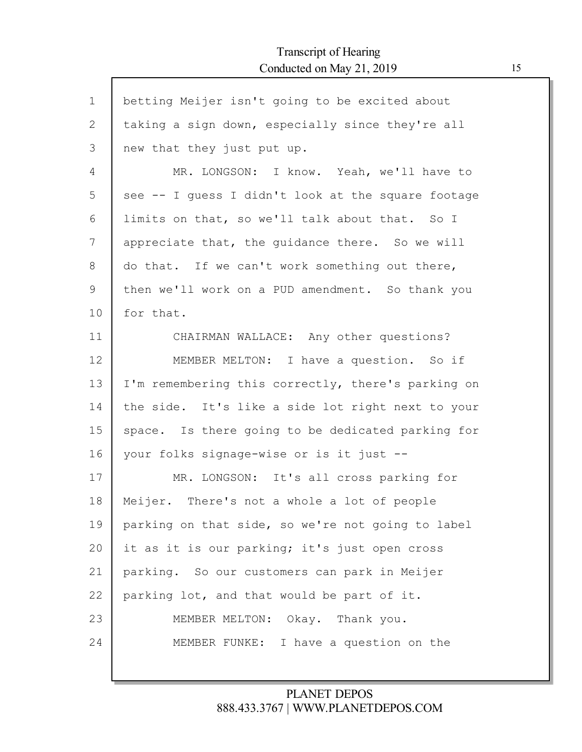$\mathsf{r}$ 

| $\mathbf 1$ | betting Meijer isn't going to be excited about     |
|-------------|----------------------------------------------------|
| 2           | taking a sign down, especially since they're all   |
| 3           | new that they just put up.                         |
| 4           | MR. LONGSON: I know. Yeah, we'll have to           |
| 5           | see -- I guess I didn't look at the square footage |
| 6           | limits on that, so we'll talk about that. So I     |
| 7           | appreciate that, the guidance there. So we will    |
| 8           | do that. If we can't work something out there,     |
| 9           | then we'll work on a PUD amendment. So thank you   |
| 10          | for that.                                          |
| 11          | CHAIRMAN WALLACE: Any other questions?             |
| 12          | MEMBER MELTON: I have a question. So if            |
| 13          | I'm remembering this correctly, there's parking on |
| 14          | the side. It's like a side lot right next to your  |
| 15          | space. Is there going to be dedicated parking for  |
| 16          | your folks signage-wise or is it just --           |
| 17          | MR. LONGSON: It's all cross parking for            |
| 18          | Meijer. There's not a whole a lot of people        |
| 19          | parking on that side, so we're not going to label  |
| 20          | it as it is our parking; it's just open cross      |
| 21          | parking. So our customers can park in Meijer       |
| 22          | parking lot, and that would be part of it.         |
| 23          | MEMBER MELTON: Okay. Thank you.                    |
| 24          | MEMBER FUNKE: I have a question on the             |
|             |                                                    |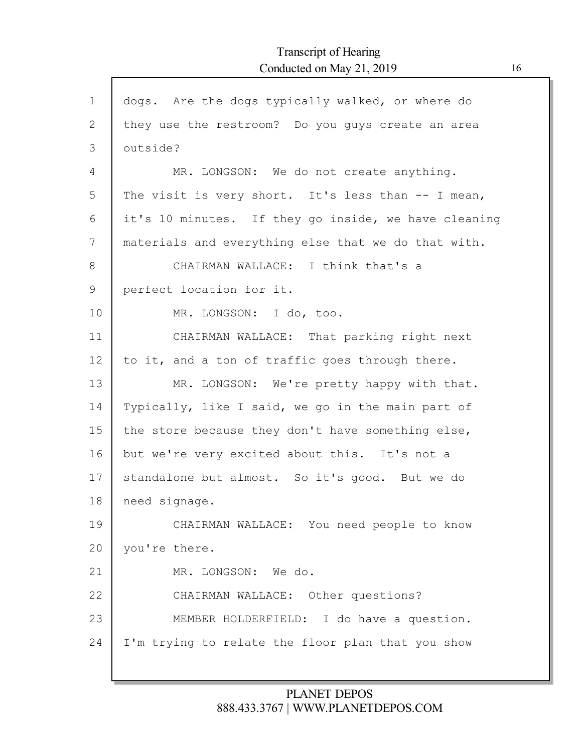| $\mathbf 1$    | dogs. Are the dogs typically walked, or where do     |
|----------------|------------------------------------------------------|
| $\overline{2}$ | they use the restroom? Do you quys create an area    |
| 3              | outside?                                             |
| 4              | MR. LONGSON: We do not create anything.              |
| 5              | The visit is very short. It's less than -- I mean,   |
| 6              | it's 10 minutes. If they go inside, we have cleaning |
| 7              | materials and everything else that we do that with.  |
| 8              | CHAIRMAN WALLACE: I think that's a                   |
| 9              | perfect location for it.                             |
| 10             | MR. LONGSON: I do, too.                              |
| 11             | CHAIRMAN WALLACE: That parking right next            |
| 12             | to it, and a ton of traffic goes through there.      |
| 13             | MR. LONGSON: We're pretty happy with that.           |
| 14             | Typically, like I said, we go in the main part of    |
| 15             | the store because they don't have something else,    |
| 16             | but we're very excited about this. It's not a        |
| 17             | standalone but almost. So it's good. But we do       |
| 18             | need signage.                                        |
| 19             | CHAIRMAN WALLACE: You need people to know            |
| 20             | you're there.                                        |
| 21             | MR. LONGSON: We do.                                  |
| 22             | CHAIRMAN WALLACE: Other questions?                   |
| 23             | MEMBER HOLDERFIELD: I do have a question.            |
| 24             | I'm trying to relate the floor plan that you show    |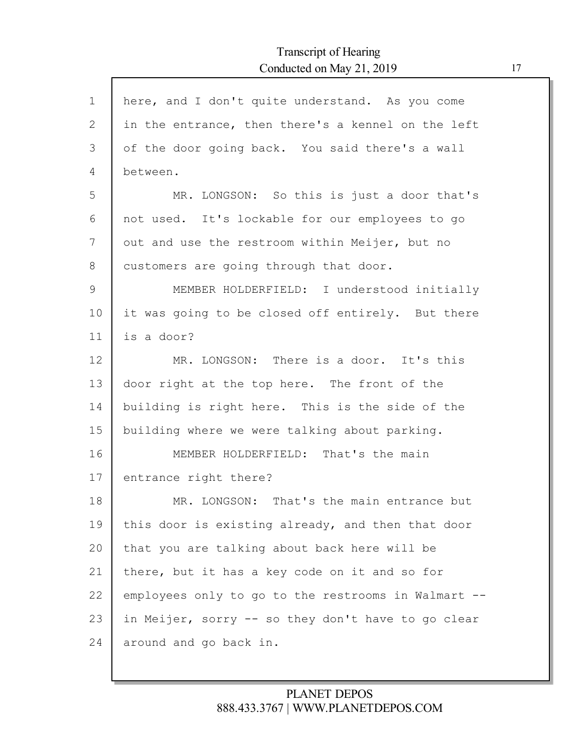| here, and I don't quite understand. As you come     |
|-----------------------------------------------------|
| in the entrance, then there's a kennel on the left  |
| of the door going back. You said there's a wall     |
| between.                                            |
| MR. LONGSON: So this is just a door that's          |
| not used. It's lockable for our employees to go     |
| out and use the restroom within Meijer, but no      |
| customers are going through that door.              |
| MEMBER HOLDERFIELD: I understood initially          |
| it was going to be closed off entirely. But there   |
| is a door?                                          |
| MR. LONGSON: There is a door. It's this             |
| door right at the top here. The front of the        |
| building is right here. This is the side of the     |
| building where we were talking about parking.       |
| MEMBER HOLDERFIELD: That's the main                 |
| entrance right there?                               |
| MR. LONGSON: That's the main entrance but           |
| this door is existing already, and then that door   |
| that you are talking about back here will be        |
| there, but it has a key code on it and so for       |
| employees only to go to the restrooms in Walmart -- |
| in Meijer, sorry -- so they don't have to go clear  |
| around and go back in.                              |
|                                                     |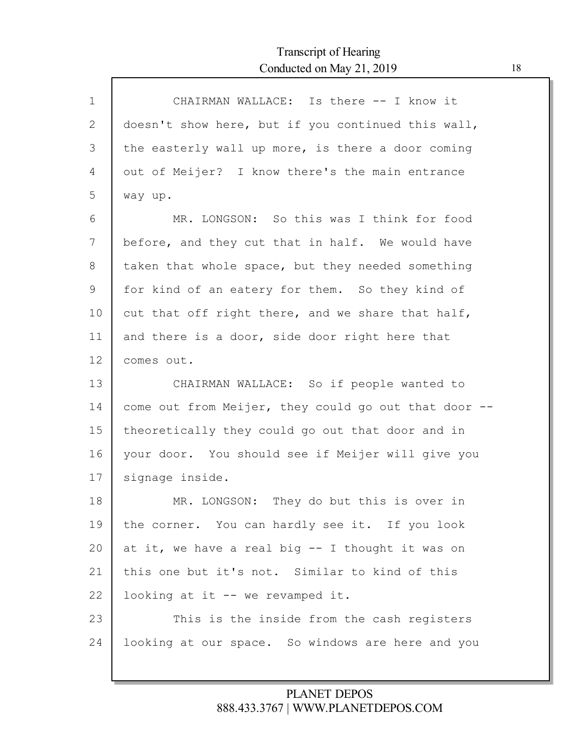| $\mathbf{1}$ | CHAIRMAN WALLACE: Is there -- I know it              |
|--------------|------------------------------------------------------|
| 2            | doesn't show here, but if you continued this wall,   |
| 3            | the easterly wall up more, is there a door coming    |
| 4            | out of Meijer? I know there's the main entrance      |
| 5            | way up.                                              |
| 6            | MR. LONGSON: So this was I think for food            |
| 7            | before, and they cut that in half. We would have     |
| 8            | taken that whole space, but they needed something    |
| 9            | for kind of an eatery for them. So they kind of      |
| 10           | cut that off right there, and we share that half,    |
| 11           | and there is a door, side door right here that       |
| 12           | comes out.                                           |
| 13           | CHAIRMAN WALLACE: So if people wanted to             |
| 14           | come out from Meijer, they could go out that door -- |
| 15           | theoretically they could go out that door and in     |
| 16           | your door. You should see if Meijer will give you    |
| 17           | signage inside.                                      |
| 18           | MR. LONGSON: They do but this is over in             |
| 19           | the corner. You can hardly see it. If you look       |
| 20           | at it, we have a real big -- I thought it was on     |
| 21           | this one but it's not. Similar to kind of this       |
| 22           | looking at it -- we revamped it.                     |
| 23           | This is the inside from the cash registers           |
| 24           | looking at our space. So windows are here and you    |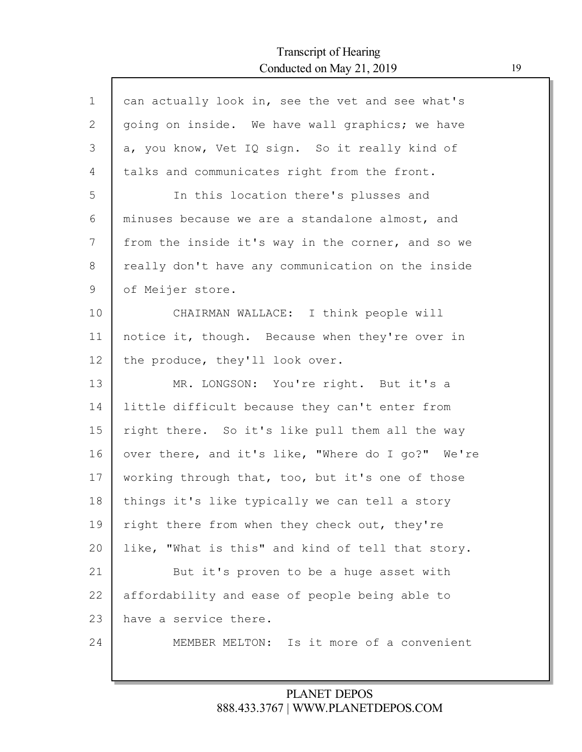ľ

| $\mathbf 1$  | can actually look in, see the vet and see what's  |
|--------------|---------------------------------------------------|
| $\mathbf{2}$ | going on inside. We have wall graphics; we have   |
| 3            | a, you know, Vet IQ sign. So it really kind of    |
| 4            | talks and communicates right from the front.      |
| 5            | In this location there's plusses and              |
| 6            | minuses because we are a standalone almost, and   |
| 7            | from the inside it's way in the corner, and so we |
| 8            | really don't have any communication on the inside |
| 9            | of Meijer store.                                  |
| 10           | CHAIRMAN WALLACE: I think people will             |
| 11           | notice it, though. Because when they're over in   |
| 12           | the produce, they'll look over.                   |
| 13           | MR. LONGSON: You're right. But it's a             |
| 14           | little difficult because they can't enter from    |
| 15           | right there. So it's like pull them all the way   |
| 16           | over there, and it's like, "Where do I go?" We're |
| 17           | working through that, too, but it's one of those  |
| 18           | things it's like typically we can tell a story    |
| 19           | right there from when they check out, they're     |
| 20           | like, "What is this" and kind of tell that story. |
| 21           | But it's proven to be a huge asset with           |
| 22           | affordability and ease of people being able to    |
| 23           | have a service there.                             |
| 24           | MEMBER MELTON: Is it more of a convenient         |
|              |                                                   |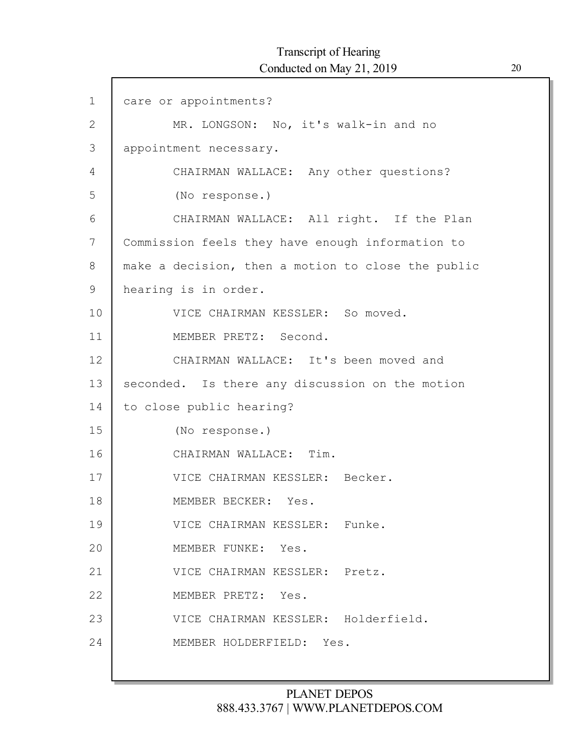| $\mathbf 1$  | care or appointments?                              |
|--------------|----------------------------------------------------|
| $\mathbf{2}$ | MR. LONGSON: No, it's walk-in and no               |
| 3            | appointment necessary.                             |
| 4            | CHAIRMAN WALLACE: Any other questions?             |
| 5            | (No response.)                                     |
| 6            | CHAIRMAN WALLACE: All right. If the Plan           |
| 7            | Commission feels they have enough information to   |
| 8            | make a decision, then a motion to close the public |
| $\mathsf 9$  | hearing is in order.                               |
| 10           | VICE CHAIRMAN KESSLER: So moved.                   |
| 11           | MEMBER PRETZ: Second.                              |
| 12           | CHAIRMAN WALLACE: It's been moved and              |
| 13           | seconded. Is there any discussion on the motion    |
| 14           | to close public hearing?                           |
| 15           | (No response.)                                     |
| 16           | CHAIRMAN WALLACE: Tim.                             |
| 17           | VICE CHAIRMAN KESSLER: Becker.                     |
| 18           | MEMBER BECKER: Yes.                                |
| 19           | VICE CHAIRMAN KESSLER: Funke.                      |
| 20           | MEMBER FUNKE: Yes.                                 |
| 21           | VICE CHAIRMAN KESSLER: Pretz.                      |
| 22           | MEMBER PRETZ: Yes.                                 |
| 23           | VICE CHAIRMAN KESSLER: Holderfield.                |
| 24           | MEMBER HOLDERFIELD: Yes.                           |
|              |                                                    |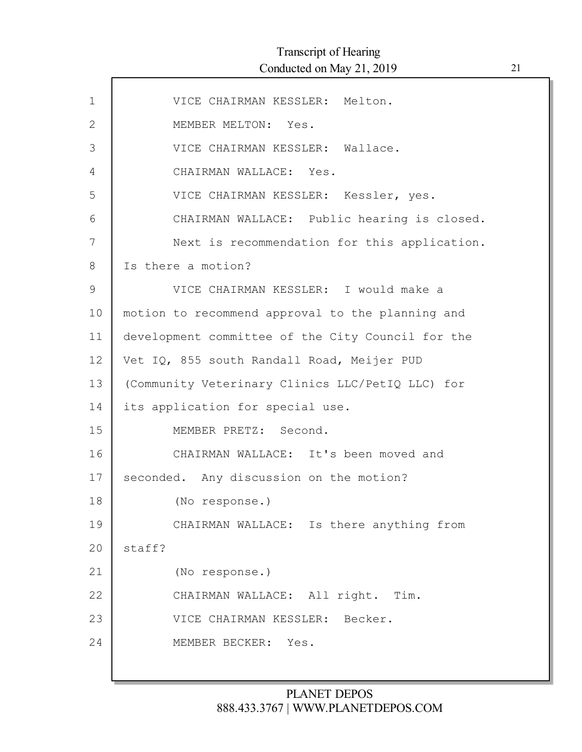| $\mathbf{1}$  | VICE CHAIRMAN KESSLER: Melton.                    |
|---------------|---------------------------------------------------|
| $\mathbf{2}$  | MEMBER MELTON: Yes.                               |
| 3             | VICE CHAIRMAN KESSLER: Wallace.                   |
| 4             | CHAIRMAN WALLACE: Yes.                            |
| 5             | VICE CHAIRMAN KESSLER: Kessler, yes.              |
| 6             | CHAIRMAN WALLACE: Public hearing is closed.       |
| 7             | Next is recommendation for this application.      |
| 8             | Is there a motion?                                |
| $\mathcal{G}$ | VICE CHAIRMAN KESSLER: I would make a             |
| 10            | motion to recommend approval to the planning and  |
| 11            | development committee of the City Council for the |
| 12            | Vet IQ, 855 south Randall Road, Meijer PUD        |
| 13            | (Community Veterinary Clinics LLC/PetIQ LLC) for  |
| 14            | its application for special use.                  |
| 15            | MEMBER PRETZ: Second.                             |
| 16            | CHAIRMAN WALLACE: It's been moved and             |
| 17            | seconded. Any discussion on the motion?           |
| 18            | (No response.)                                    |
| 19            | CHAIRMAN WALLACE: Is there anything from          |
| 20            | staff?                                            |
| 21            | (No response.)                                    |
| 22            | CHAIRMAN WALLACE: All right. Tim.                 |
| 23            | VICE CHAIRMAN KESSLER: Becker.                    |
| 24            | MEMBER BECKER: Yes.                               |
|               |                                                   |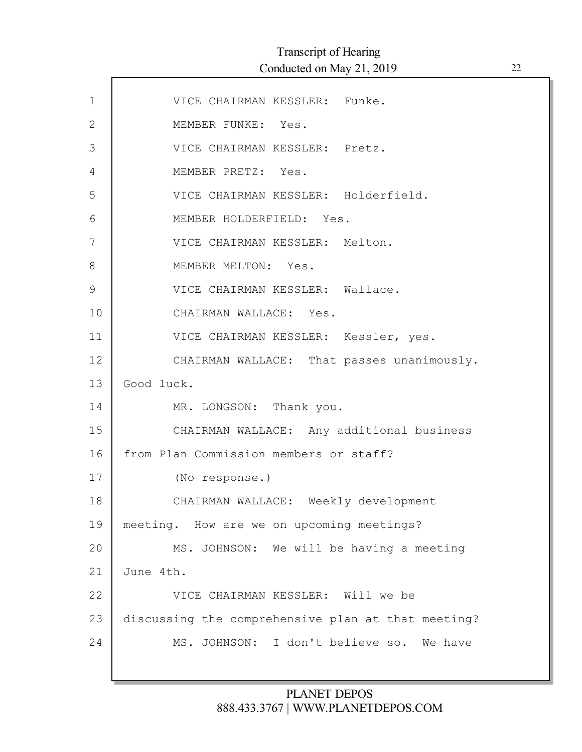| $\mathbf 1$   | VICE CHAIRMAN KESSLER: Funke.                      |
|---------------|----------------------------------------------------|
| $\mathbf{2}$  | MEMBER FUNKE: Yes.                                 |
| 3             | VICE CHAIRMAN KESSLER: Pretz.                      |
| 4             | MEMBER PRETZ: Yes.                                 |
| 5             | VICE CHAIRMAN KESSLER: Holderfield.                |
| 6             | MEMBER HOLDERFIELD: Yes.                           |
| 7             | VICE CHAIRMAN KESSLER: Melton.                     |
| 8             | MEMBER MELTON: Yes.                                |
| $\mathcal{G}$ | VICE CHAIRMAN KESSLER: Wallace.                    |
| 10            | CHAIRMAN WALLACE: Yes.                             |
| 11            | VICE CHAIRMAN KESSLER: Kessler, yes.               |
| 12            | CHAIRMAN WALLACE: That passes unanimously.         |
| 13            | Good luck.                                         |
| 14            | MR. LONGSON: Thank you.                            |
| 15            | CHAIRMAN WALLACE: Any additional business          |
| 16            | from Plan Commission members or staff?             |
| 17            | (No response.)                                     |
| 18            | CHAIRMAN WALLACE: Weekly development               |
| 19            | meeting. How are we on upcoming meetings?          |
| 20            | MS. JOHNSON: We will be having a meeting           |
| 21            | June 4th.                                          |
| 22            | VICE CHAIRMAN KESSLER: Will we be                  |
| 23            | discussing the comprehensive plan at that meeting? |
| 24            | MS. JOHNSON: I don't believe so. We have           |
|               |                                                    |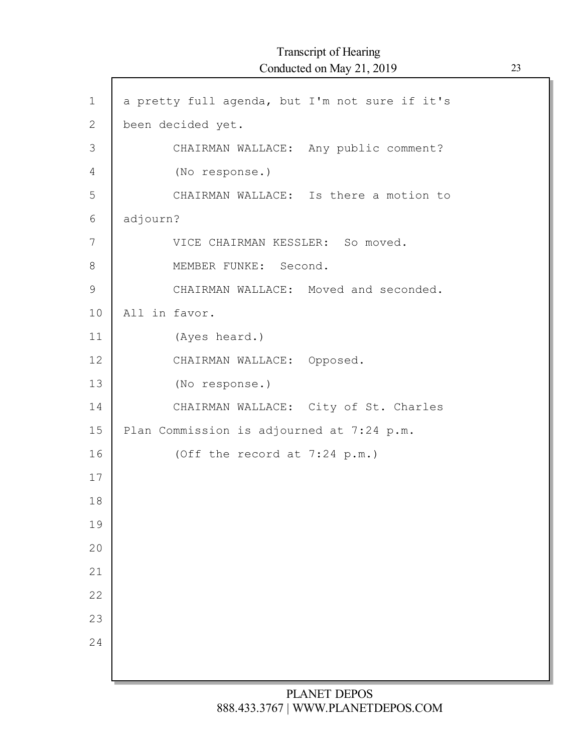| $\mathbf 1$  | a pretty full agenda, but I'm not sure if it's |
|--------------|------------------------------------------------|
| $\mathbf{2}$ | been decided yet.                              |
| 3            | CHAIRMAN WALLACE: Any public comment?          |
| 4            | (No response.)                                 |
| 5            | CHAIRMAN WALLACE: Is there a motion to         |
| 6            | adjourn?                                       |
| 7            | VICE CHAIRMAN KESSLER: So moved.               |
| 8            | MEMBER FUNKE: Second.                          |
| $\mathsf 9$  | CHAIRMAN WALLACE: Moved and seconded.          |
| 10           | All in favor.                                  |
| 11           | (Ayes heard.)                                  |
| 12           | CHAIRMAN WALLACE: Opposed.                     |
| 13           | (No response.)                                 |
| 14           | CHAIRMAN WALLACE: City of St. Charles          |
| 15           | Plan Commission is adjourned at 7:24 p.m.      |
| 16           | (Off the record at 7:24 p.m.)                  |
| 17           |                                                |
| 18           |                                                |
| 19           |                                                |
| 20           |                                                |
| 21           |                                                |
| 22           |                                                |
| 23           |                                                |
| 24           |                                                |
|              |                                                |